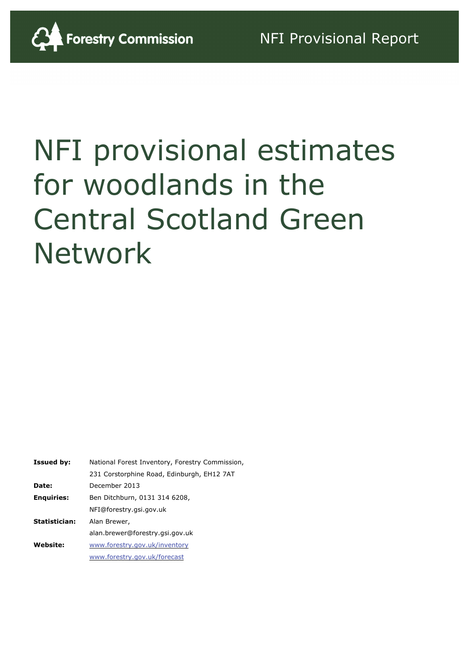

# NFI provisional estimates for woodlands in the Central Scotland Green Network

| <b>Issued by:</b> | National Forest Inventory, Forestry Commission, |
|-------------------|-------------------------------------------------|
|                   | 231 Corstorphine Road, Edinburgh, EH12 7AT      |
| Date:             | December 2013                                   |
| <b>Enquiries:</b> | Ben Ditchburn, 0131 314 6208,                   |
|                   | NFI@forestry.gsi.gov.uk                         |
| Statistician:     | Alan Brewer,                                    |
|                   | alan.brewer@forestry.gsi.gov.uk                 |
| <b>Website:</b>   | www.forestry.gov.uk/inventory                   |
|                   | www.forestry.gov.uk/forecast                    |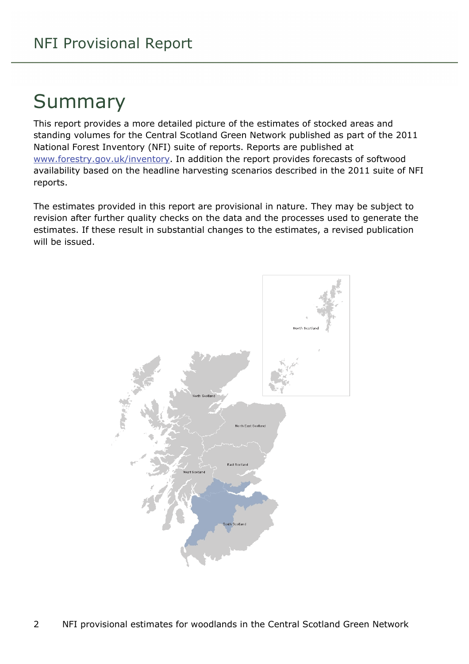# Summary

This report provides a more detailed picture of the estimates of stocked areas and standing volumes for the Central Scotland Green Network published as part of the 2011 National Forest Inventory (NFI) suite of reports. Reports are published at [www.forestry.gov.uk/inventory](http://www.forestry.gov.uk/inventory). In addition the report provides forecasts of softwood availability based on the headline harvesting scenarios described in the 2011 suite of NFI reports.

The estimates provided in this report are provisional in nature. They may be subject to revision after further quality checks on the data and the processes used to generate the estimates. If these result in substantial changes to the estimates, a revised publication will be issued.

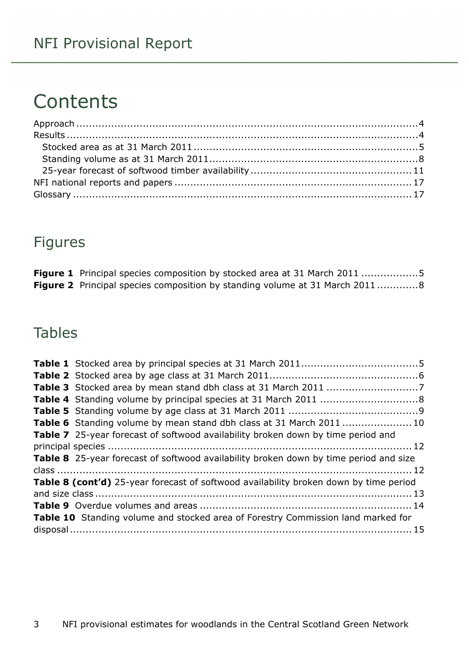# **Contents**

### Figures

| <b>Figure 1</b> Principal species composition by stocked area at 31 March 2011 5   |  |
|------------------------------------------------------------------------------------|--|
| <b>Figure 2</b> Principal species composition by standing volume at 31 March 20118 |  |

### Tables

| Table 6 Standing volume by mean stand dbh class at 31 March 2011 10                          |  |
|----------------------------------------------------------------------------------------------|--|
| <b>Table 7</b> 25-year forecast of softwood availability broken down by time period and      |  |
|                                                                                              |  |
| <b>Table 8</b> 25-year forecast of softwood availability broken down by time period and size |  |
|                                                                                              |  |
| Table 8 (cont'd) 25-year forecast of softwood availability broken down by time period        |  |
|                                                                                              |  |
|                                                                                              |  |
| Table 10 Standing volume and stocked area of Forestry Commission land marked for             |  |
|                                                                                              |  |
|                                                                                              |  |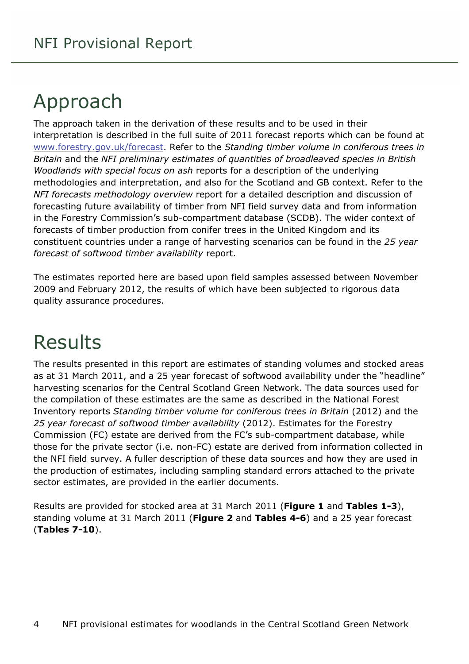# <span id="page-3-0"></span>Approach

The approach taken in the derivation of these results and to be used in their interpretation is described in the full suite of 2011 forecast reports which can be found at [www.forestry.gov.uk/forecast](http://www.forestry.gov.uk/forecast). Refer to the *Standing timber volume in coniferous trees in Britain* and the *NFI preliminary estimates of quantities of broadleaved species in British Woodlands with special focus on ash* reports for a description of the underlying methodologies and interpretation, and also for the Scotland and GB context. Refer to the *NFI forecasts methodology overview* report for a detailed description and discussion of forecasting future availability of timber from NFI field survey data and from information in the Forestry Commission's sub-compartment database (SCDB). The wider context of forecasts of timber production from conifer trees in the United Kingdom and its constituent countries under a range of harvesting scenarios can be found in the *25 year forecast of softwood timber availability* report.

The estimates reported here are based upon field samples assessed between November 2009 and February 2012, the results of which have been subjected to rigorous data quality assurance procedures.

# <span id="page-3-1"></span>Results

The results presented in this report are estimates of standing volumes and stocked areas as at 31 March 2011, and a 25 year forecast of softwood availability under the "headline" harvesting scenarios for the Central Scotland Green Network. The data sources used for the compilation of these estimates are the same as described in the National Forest Inventory reports *Standing timber volume for coniferous trees in Britain* (2012) and the *25 year forecast of softwood timber availability* (2012). Estimates for the Forestry Commission (FC) estate are derived from the FC's sub-compartment database, while those for the private sector (i.e. non-FC) estate are derived from information collected in the NFI field survey. A fuller description of these data sources and how they are used in the production of estimates, including sampling standard errors attached to the private sector estimates, are provided in the earlier documents.

Results are provided for stocked area at 31 March 2011 (**Figure 1** and **Tables 1-3**), standing volume at 31 March 2011 (**Figure 2** and **Tables 4-6**) and a 25 year forecast (**Tables 7-10**).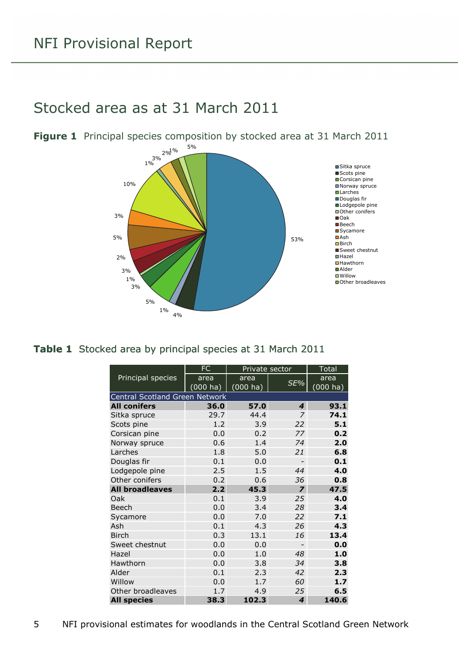### <span id="page-4-0"></span>Stocked area as at 31 March 2011



<span id="page-4-1"></span>**Figure 1** Principal species composition by stocked area at 31 March 2011

#### <span id="page-4-2"></span>**Table 1** Stocked area by principal species at 31 March 2011

|                                | <b>FC</b> | Private sector |                          | <b>Total</b>          |
|--------------------------------|-----------|----------------|--------------------------|-----------------------|
| Principal species              | area      | area           | SE%                      | area                  |
|                                | (000 ha)  | $(000)$ ha)    |                          | $(000 h\overline{a})$ |
| Central Scotland Green Network |           |                |                          |                       |
| <b>All conifers</b>            | 36.0      | 57.0           | 4                        | 93.1                  |
| Sitka spruce                   | 29.7      | 44.4           | 7                        | 74.1                  |
| Scots pine                     | 1.2       | 3.9            | 22                       | 5.1                   |
| Corsican pine                  | 0.0       | 0.2            | 77                       | 0.2                   |
| Norway spruce                  | 0.6       | 1.4            | 74                       | 2.0                   |
| Larches                        | 1.8       | 5.0            | 21                       | 6.8                   |
| Douglas fir                    | 0.1       | 0.0            | $\overline{a}$           | 0.1                   |
| Lodgepole pine                 | 2.5       | 1.5            | 44                       | 4.0                   |
| Other conifers                 | 0.2       | 0.6            | 36                       | 0.8                   |
| <b>All broadleaves</b>         | 2.2       | 45.3           | $\overline{z}$           | 47.5                  |
| Oak                            | 0.1       | 3.9            | 25                       | 4.0                   |
| Beech                          | 0.0       | 3.4            | 28                       | 3.4                   |
| Sycamore                       | 0.0       | 7.0            | 22                       | 7.1                   |
| Ash                            | 0.1       | 4.3            | 26                       | 4.3                   |
| <b>Birch</b>                   | 0.3       | 13.1           | 16                       | 13.4                  |
| Sweet chestnut                 | 0.0       | 0.0            | $\overline{\phantom{0}}$ | 0.0                   |
| Hazel                          | 0.0       | 1.0            | 48                       | 1.0                   |
| Hawthorn                       | 0.0       | 3.8            | 34                       | 3.8                   |
| Alder                          | 0.1       | 2.3            | 42                       | 2.3                   |
| Willow                         | 0.0       | 1.7            | 60                       | 1.7                   |
| Other broadleaves              | 1.7       | 4.9            | 25                       | 6.5                   |
| <b>All species</b>             | 38.3      | 102.3          | 4                        | 140.6                 |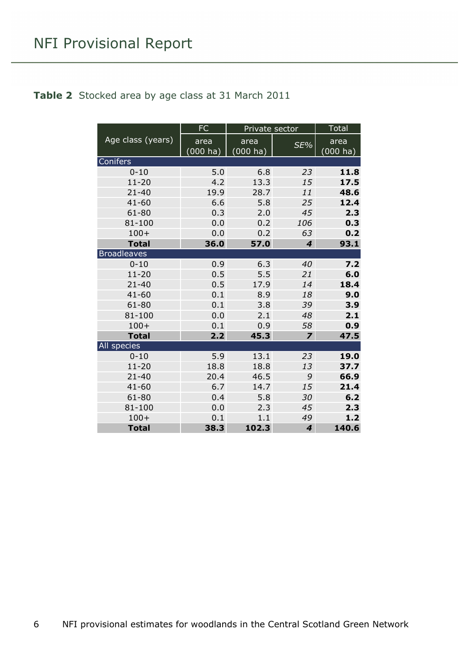#### <span id="page-5-0"></span>**Table 2** Stocked area by age class at 31 March 2011

|                    | <b>FC</b> | Private sector | <b>Total</b>            |                    |
|--------------------|-----------|----------------|-------------------------|--------------------|
| Age class (years)  | area      | area           | SE%                     | area               |
|                    | (000 ha)  | $(000)$ ha)    |                         | $(000 \text{ ha})$ |
| Conifers           |           |                |                         |                    |
| $0 - 10$           | 5.0       | 6.8            | 23                      | 11.8               |
| $11 - 20$          | 4.2       | 13.3           | 15                      | 17.5               |
| $21 - 40$          | 19.9      | 28.7           | 11                      | 48.6               |
| $41 - 60$          | 6.6       | 5.8            | 25                      | 12.4               |
| 61-80              | 0.3       | 2.0            | 45                      | 2.3                |
| 81-100             | 0.0       | 0.2            | 106                     | 0.3                |
| $100+$             | 0.0       | 0.2            | 63                      | 0.2                |
| <b>Total</b>       | 36.0      | 57.0           | $\overline{\mathbf{4}}$ | 93.1               |
| <b>Broadleaves</b> |           |                |                         |                    |
| $0 - 10$           | 0.9       | 6.3            | 40                      | 7.2                |
| $11 - 20$          | 0.5       | 5.5            | 21                      | 6.0                |
| $21 - 40$          | 0.5       | 17.9           | 14                      | 18.4               |
| $41 - 60$          | 0.1       | 8.9            | 18                      | 9.0                |
| 61-80              | 0.1       | 3.8            | 39                      | 3.9                |
| 81-100             | 0.0       | 2.1            | 48                      | 2.1                |
| $100+$             | 0.1       | 0.9            | 58                      | 0.9                |
| <b>Total</b>       | 2.2       | 45.3           | $\overline{\mathbf{z}}$ | 47.5               |
| All species        |           |                |                         |                    |
| $0 - 10$           | 5.9       | 13.1           | 23                      | 19.0               |
| $11 - 20$          | 18.8      | 18.8           | 13                      | 37.7               |
| $21 - 40$          | 20.4      | 46.5           | 9                       | 66.9               |
| $41 - 60$          | 6.7       | 14.7           | 15                      | 21.4               |
| 61-80              | 0.4       | 5.8            | 30                      | 6.2                |
| 81-100             | 0.0       | 2.3            | 45                      | 2.3                |
| $100+$             | 0.1       | 1.1            | 49                      | 1.2                |
| <b>Total</b>       | 38.3      | 102.3          | 4                       | 140.6              |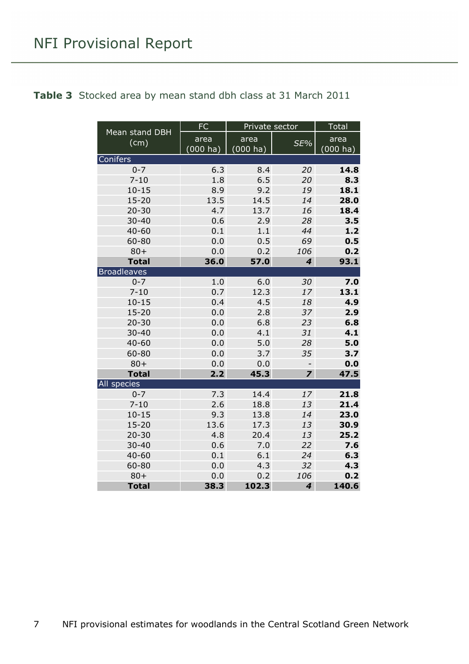<span id="page-6-0"></span>

|  | Table 3 Stocked area by mean stand dbh class at 31 March 2011 |  |  |  |  |  |  |  |  |  |
|--|---------------------------------------------------------------|--|--|--|--|--|--|--|--|--|
|--|---------------------------------------------------------------|--|--|--|--|--|--|--|--|--|

| Mean stand DBH     | $\overline{FC}$    |                    | Private sector              |             |  |
|--------------------|--------------------|--------------------|-----------------------------|-------------|--|
| (cm)               | area               | area               | SE%                         | area        |  |
|                    | $(000 \text{ ha})$ | $(000 \text{ ha})$ |                             | $(000)$ ha) |  |
| Conifers           |                    |                    |                             |             |  |
| $0 - 7$            | 6.3                | 8.4                | 20                          | 14.8        |  |
| $7 - 10$           | 1.8                | 6.5                | 20                          | 8.3         |  |
| $10 - 15$          | 8.9                | 9.2                | 19                          | 18.1        |  |
| $15 - 20$          | 13.5               | 14.5               | 14                          | 28.0        |  |
| $20 - 30$          | 4.7                | 13.7               | 16                          | 18.4        |  |
| $30 - 40$          | 0.6                | 2.9                | 28                          | 3.5         |  |
| $40 - 60$          | 0.1                | 1.1                | 44                          | 1.2         |  |
| 60-80              | 0.0                | 0.5                | 69                          | 0.5         |  |
| $80 +$             | 0.0                | 0.2                | 106                         | 0.2         |  |
| <b>Total</b>       | 36.0               | 57.0               | $\overline{\mathbf{4}}$     | 93.1        |  |
| <b>Broadleaves</b> |                    |                    |                             |             |  |
| $0 - 7$            | 1.0                | 6.0                | 30                          | 7.0         |  |
| $7 - 10$           | 0.7                | 12.3               | 17                          | 13.1        |  |
| $10 - 15$          | 0.4                | 4.5                | 18                          | 4.9         |  |
| $15 - 20$          | 0.0                | 2.8                | 37                          | 2.9         |  |
| $20 - 30$          | 0.0                | 6.8                | 23                          | 6.8         |  |
| $30 - 40$          | 0.0                | 4.1                | 31                          | 4.1         |  |
| $40 - 60$          | 0.0                | 5.0                | 28                          | 5.0         |  |
| 60-80              | 0.0                | 3.7                | 35                          | 3.7         |  |
| $80 +$             | 0.0                | 0.0                |                             | 0.0         |  |
| <b>Total</b>       | 2.2                | 45.3               | $\overline{\mathbf{z}}$     | 47.5        |  |
| <b>All species</b> |                    |                    |                             |             |  |
| $0 - 7$            | 7.3                | 14.4               | 17                          | 21.8        |  |
| $7 - 10$           | 2.6                | 18.8               | 13                          | 21.4        |  |
| $10 - 15$          | 9.3                | 13.8               | 14                          | 23.0        |  |
| $15 - 20$          | 13.6               | 17.3               | 13                          | 30.9        |  |
| $20 - 30$          | 4.8                | 20.4               | 13                          | 25.2        |  |
| $30 - 40$          | 0.6                | 7.0                | 22                          | 7.6         |  |
| $40 - 60$          | 0.1                | 6.1                | 24                          | 6.3         |  |
| 60-80              | 0.0                | 4.3                | 32                          | 4.3         |  |
| $80 +$             | 0.0                | 0.2                | 106                         | 0.2         |  |
| <b>Total</b>       | 38.3               | 102.3              | $\overline{\boldsymbol{4}}$ | 140.6       |  |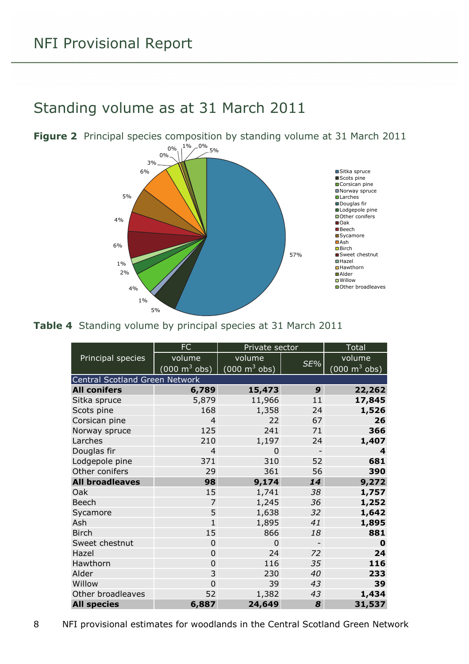### <span id="page-7-0"></span>Standing volume as at 31 March 2011



<span id="page-7-1"></span>**Figure 2** Principal species composition by standing volume at 31 March 2011

<span id="page-7-2"></span>

| Table 4 Standing volume by principal species at 31 March 2011 |  |  |  |  |  |  |  |  |  |
|---------------------------------------------------------------|--|--|--|--|--|--|--|--|--|
|---------------------------------------------------------------|--|--|--|--|--|--|--|--|--|

|                                | FC                              | Private sector                  |                | <b>Total</b>                    |
|--------------------------------|---------------------------------|---------------------------------|----------------|---------------------------------|
| Principal species              | volume                          | volume                          |                | volume                          |
|                                | $(000 \text{ m}^3 \text{ obs})$ | $(000 \text{ m}^3 \text{ obs})$ | SE%            | $(000 \text{ m}^3 \text{ obs})$ |
| Central Scotland Green Network |                                 |                                 |                |                                 |
| <b>All conifers</b>            | 6,789                           | 15,473                          | 9              | 22,262                          |
| Sitka spruce                   | 5,879                           | 11,966                          | 11             | 17,845                          |
| Scots pine                     | 168                             | 1,358                           | 24             | 1,526                           |
| Corsican pine                  | $\overline{4}$                  | 22                              | 67             | 26                              |
| Norway spruce                  | 125                             | 241                             | 71             | 366                             |
| Larches                        | 210                             | 1,197                           | 24             | 1,407                           |
| Douglas fir                    | $\overline{4}$                  | $\Omega$                        |                | 4                               |
| Lodgepole pine                 | 371                             | 310                             | 52             | 681                             |
| Other conifers                 | 29                              | 361                             | 56             | 390                             |
| <b>All broadleaves</b>         | 98                              | 9,174                           | 14             | 9,272                           |
| Oak                            | 15                              | 1,741                           | 38             | 1,757                           |
| <b>Beech</b>                   | $\overline{7}$                  | 1,245                           | 36             | 1,252                           |
| Sycamore                       | 5                               | 1,638                           | 32             | 1,642                           |
| Ash                            | $\overline{1}$                  | 1,895                           | 41             | 1,895                           |
| <b>Birch</b>                   | 15                              | 866                             | 18             | 881                             |
| Sweet chestnut                 | 0                               | 0                               | $\overline{a}$ | 0                               |
| Hazel                          | $\overline{0}$                  | 24                              | 72             | 24                              |
| Hawthorn                       | $\overline{0}$                  | 116                             | 35             | 116                             |
| Alder                          | 3                               | 230                             | 40             | 233                             |
| Willow                         | $\Omega$                        | 39                              | 43             | 39                              |
| Other broadleaves              | 52                              | 1,382                           | 43             | 1,434                           |
| <b>All species</b>             | 6,887                           | 24,649                          | 8              | 31,537                          |

<sup>8</sup> NFI provisional estimates for woodlands in the Central Scotland Green Network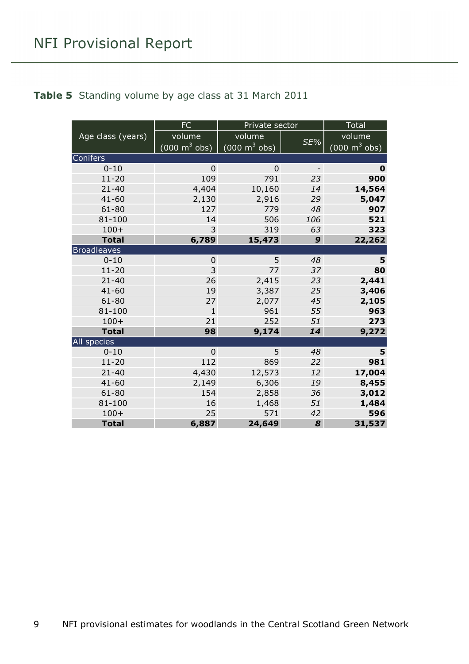#### <span id="page-8-0"></span>**Table 5** Standing volume by age class at 31 March 2011

|                    | <b>FC</b>                           | Private sector                  |                          | Total             |
|--------------------|-------------------------------------|---------------------------------|--------------------------|-------------------|
| Age class (years)  | volume                              | volume                          |                          | volume            |
|                    | $(000 \; \text{m}^3 \; \text{obs})$ | $(000 \text{ m}^3 \text{ obs})$ | SE%                      | (000 m $^3$ obs). |
| <b>Conifers</b>    |                                     |                                 |                          |                   |
| $0 - 10$           | $\Omega$                            | $\Omega$                        | $\overline{\phantom{a}}$ | 0                 |
| $11 - 20$          | 109                                 | 791                             | 23                       | 900               |
| $21 - 40$          | 4,404                               | 10,160                          | 14                       | 14,564            |
| $41 - 60$          | 2,130                               | 2,916                           | 29                       | 5,047             |
| $61 - 80$          | 127                                 | 779                             | 48                       | 907               |
| 81-100             | 14                                  | 506                             | 106                      | 521               |
| $100+$             | 3                                   | 319                             | 63                       | 323               |
| <b>Total</b>       | 6,789                               | 15,473                          | 9                        | 22,262            |
| <b>Broadleaves</b> |                                     |                                 |                          |                   |
| $0 - 10$           | $\mathbf 0$                         | 5                               | 48                       | 5                 |
| $11 - 20$          | 3                                   | 77                              | 37                       | 80                |
| $21 - 40$          | 26                                  | 2,415                           | 23                       | 2,441             |
| $41 - 60$          | 19                                  | 3,387                           | 25                       | 3,406             |
| $61 - 80$          | 27                                  | 2,077                           | 45                       | 2,105             |
| $81 - 100$         | $\mathbf{1}$                        | 961                             | 55                       | 963               |
| $100+$             | 21                                  | 252                             | 51                       | 273               |
| <b>Total</b>       | 98                                  | 9,174                           | 14                       | 9,272             |
| All species        |                                     |                                 |                          |                   |
| $0 - 10$           | $\overline{0}$                      | 5                               | 48                       | 5                 |
| $11 - 20$          | 112                                 | 869                             | 22                       | 981               |
| $21 - 40$          | 4,430                               | 12,573                          | 12                       | 17,004            |
| $41 - 60$          | 2,149                               | 6,306                           | 19                       | 8,455             |
| $61 - 80$          | 154                                 | 2,858                           | 36                       | 3,012             |
| 81-100             | 16                                  | 1,468                           | 51                       | 1,484             |
| $100+$             | 25                                  | 571                             | 42                       | 596               |
| <b>Total</b>       | 6,887                               | 24,649                          | 8                        | 31,537            |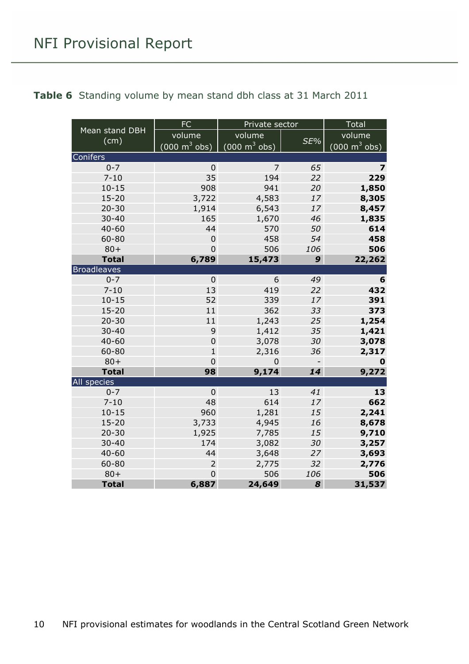<span id="page-9-0"></span>

|                    | <b>FC</b>                       | Private sector                      |                              | Total                           |  |
|--------------------|---------------------------------|-------------------------------------|------------------------------|---------------------------------|--|
| Mean stand DBH     | volume                          | volume                              | SE%                          | volume                          |  |
| (cm)               | $(000 \text{ m}^3 \text{ obs})$ | $(000 \; \text{m}^3 \; \text{obs})$ |                              | $(000 \text{ m}^3 \text{ obs})$ |  |
| Conifers           |                                 |                                     |                              |                                 |  |
| $0 - 7$            | $\mathbf 0$                     | $\overline{7}$                      | 65                           | $\overline{\mathbf{z}}$         |  |
| $7 - 10$           | 35                              | 194                                 | 22                           | 229                             |  |
| $10 - 15$          | 908                             | 941                                 | 20                           | 1,850                           |  |
| $15 - 20$          | 3,722                           | 4,583                               | 17                           | 8,305                           |  |
| $20 - 30$          | 1,914                           | 6,543                               | 17                           | 8,457                           |  |
| $30 - 40$          | 165                             | 1,670                               | 46                           | 1,835                           |  |
| $40 - 60$          | 44                              | 570                                 | 50                           | 614                             |  |
| 60-80              | $\mathbf 0$                     | 458                                 | 54                           | 458                             |  |
| $80 +$             | $\overline{0}$                  | 506                                 | 106                          | 506                             |  |
| <b>Total</b>       | 6,789                           | 15,473                              | 9                            | 22,262                          |  |
| <b>Broadleaves</b> |                                 |                                     |                              |                                 |  |
| $0 - 7$            | $\mathbf 0$                     | 6                                   | 49                           | 6                               |  |
| $7 - 10$           | 13                              | 419                                 | 22                           | 432                             |  |
| $10 - 15$          | 52                              | 339                                 | 17                           | 391                             |  |
| $15 - 20$          | 11                              | 362                                 | 33                           | 373                             |  |
| $20 - 30$          | 11                              | 1,243                               | 25                           | 1,254                           |  |
| $30 - 40$          | 9                               | 1,412                               | 35                           | 1,421                           |  |
| $40 - 60$          | $\overline{0}$                  | 3,078                               | 30                           | 3,078                           |  |
| 60-80              | $\mathbf{1}$                    | 2,316                               | 36                           | 2,317                           |  |
| $80 +$             | $\overline{0}$                  | $\Omega$                            | $\qquad \qquad \blacksquare$ | 0                               |  |
| <b>Total</b>       | 98                              | 9,174                               | 14                           | 9,272                           |  |
| All species        |                                 |                                     |                              |                                 |  |
| $0 - 7$            | $\mathbf 0$                     | 13                                  | 41                           | 13                              |  |
| $7 - 10$           | 48                              | 614                                 | 17                           | 662                             |  |
| $10 - 15$          | 960                             | 1,281                               | 15                           | 2,241                           |  |
| $15 - 20$          | 3,733                           | 4,945                               | 16                           | 8,678                           |  |
| $20 - 30$          | 1,925                           | 7,785                               | 15                           | 9,710                           |  |
| $30 - 40$          | 174                             | 3,082                               | 30                           | 3,257                           |  |
| $40 - 60$          | 44                              | 3,648                               | 27                           | 3,693                           |  |
| 60-80              | $\overline{2}$                  | 2,775                               | 32                           | 2,776                           |  |
| $80 +$             | $\overline{0}$                  | 506                                 | 106                          | 506                             |  |
| <b>Total</b>       | 6,887                           | 24,649                              | 8                            | 31,537                          |  |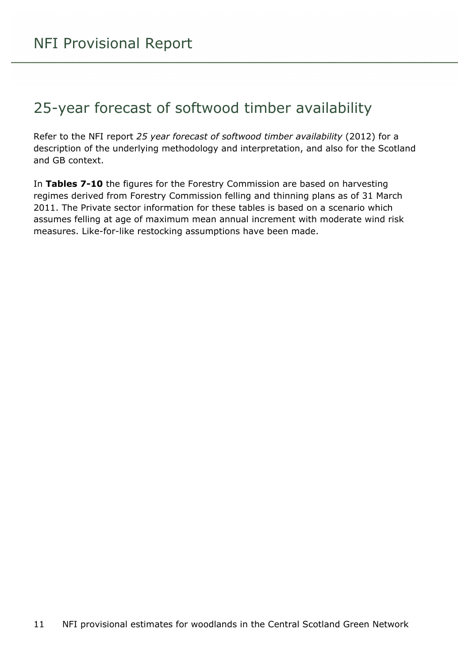### <span id="page-10-0"></span>25-year forecast of softwood timber availability

Refer to the NFI report *25 year forecast of softwood timber availability* (2012) for a description of the underlying methodology and interpretation, and also for the Scotland and GB context.

In **Tables 7-10** the figures for the Forestry Commission are based on harvesting regimes derived from Forestry Commission felling and thinning plans as of 31 March 2011. The Private sector information for these tables is based on a scenario which assumes felling at age of maximum mean annual increment with moderate wind risk measures. Like-for-like restocking assumptions have been made.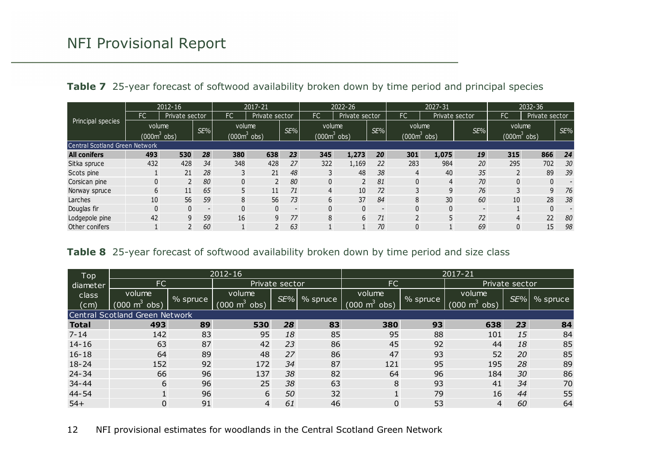|  | Table 7 25-year forecast of softwood availability broken down by time period and principal species |  |  |  |  |  |  |  |  |
|--|----------------------------------------------------------------------------------------------------|--|--|--|--|--|--|--|--|
|--|----------------------------------------------------------------------------------------------------|--|--|--|--|--|--|--|--|

|                                       |     | 2012-16                  |                          |                          | 2017-21        |                          |                        | 2022-26        |                          |                | 2027-31         |                          |                          | 2032-36        |     |
|---------------------------------------|-----|--------------------------|--------------------------|--------------------------|----------------|--------------------------|------------------------|----------------|--------------------------|----------------|-----------------|--------------------------|--------------------------|----------------|-----|
|                                       | FC. | Private sector           |                          | FC                       | Private sector |                          | <b>FC</b>              | Private sector |                          | <b>FC</b>      | Private sector  |                          | FC                       | Private sector |     |
| Principal species                     |     | volume<br>$(000m^3$ obs) | SE%                      | volume<br>$(000m^3$ obs) |                | SE%                      | volume<br>$(0006$ obs) |                | SE%                      | volume         | $(000m^3)$ obs) | SE%                      | volume<br>$(000m^3$ obs) |                | SE% |
| <b>Central Scotland Green Network</b> |     |                          |                          |                          |                |                          |                        |                |                          |                |                 |                          |                          |                |     |
| <b>All conifers</b>                   | 493 | 530                      | 28                       | 380                      | 638            | 23                       | 345                    | 1,273          | 20                       | 301            | 1,075           | 19                       | 315                      | 866            | 24  |
| Sitka spruce                          | 432 | 428                      | 34                       | 348                      | 428            | 27                       | 322                    | 1,169          | 22                       | 283            | 984             | 20                       | 295                      | 702            | 30  |
| Scots pine                            |     | 21                       | 28                       |                          | 21             | 48                       |                        | 48             | 38                       | 4              | 40              | 35                       |                          | 89             | 39  |
| Corsican pine                         |     |                          | 80                       | 0                        |                | 80                       | $\mathbf{0}$           |                | 81                       |                | 4               | 70                       |                          | 0              |     |
| Norway spruce                         | 6   | 11                       | 65                       |                          | 11             | 71                       | 4                      | 10             | 72                       |                | 9               | 76                       |                          | 9              | 76  |
| Larches                               | 10  | 56                       | 59                       | 8                        | 56             | 73                       | 6                      | 37             | 84                       | 8              | 30              | 60                       | 10                       | 28             | 38  |
| Douglas fir                           | 0   |                          | $\overline{\phantom{a}}$ | 0                        | 0              | $\overline{\phantom{a}}$ | 0                      | $\Omega$       | $\overline{\phantom{a}}$ |                | $\mathbf{0}$    | $\overline{\phantom{a}}$ |                          | 0              |     |
| Lodgepole pine                        | 42  |                          | 59                       | 16                       | 9              | 77                       | 8                      | 6              | 71                       | $\overline{2}$ | 5               | 72                       | 4                        | 22             | 80  |
| Other conifers                        |     |                          | 60                       |                          |                | 63                       |                        |                | 70                       |                |                 | 69                       | 0                        | 15             | 98  |

#### **Table 8** 25-year forecast of softwood availability broken down by time period and size class

| Top          | $2012 - 16$                    |          |                             |     |          | 2017-21                     |          |                                 |     |          |
|--------------|--------------------------------|----------|-----------------------------|-----|----------|-----------------------------|----------|---------------------------------|-----|----------|
| diameter     | FC                             |          | Private sector              |     |          | FC                          |          | Private sector                  |     |          |
| class        | volume                         |          | volume                      | SE% |          | volume                      |          | volume                          | SE% |          |
| (cm)         | $(000 \text{ m}^3)$<br>obs)    | % spruce | $(000 \text{ m}^3)$<br>obs) |     | % spruce | $(000 \text{ m}^3)$<br>obs) | % spruce | $(000 \text{ m}^3 \text{ obs})$ |     | % spruce |
|              | Central Scotland Green Network |          |                             |     |          |                             |          |                                 |     |          |
| <b>Total</b> | 493                            | 89       | 530                         | 28  | 83       | 380                         | 93       | 638                             | 23  | 84       |
| $7 - 14$     | 142                            | 83       | 95                          | 18  | 85       | 95                          | 88       | 101                             | 15  | 84       |
| $14 - 16$    | 63                             | 87       | 42                          | 23  | 86       | 45                          | 92       | 44                              | 18  | 85       |
| $16 - 18$    | 64                             | 89       | 48                          | 27  | 86       | 47                          | 93       | 52                              | 20  | 85       |
| $18 - 24$    | 152                            | 92       | 172                         | 34  | 87       | 121                         | 95       | 195                             | 28  | 89       |
| $24 - 34$    | 66                             | 96       | 137                         | 38  | 82       | 64                          | 96       | 184                             | 30  | 86       |
| $34 - 44$    | 6                              | 96       | 25                          | 38  | 63       | 8                           | 93       | 41                              | 34  | 70       |
| 44-54        |                                | 96       | 6                           | 50  | 32       | 1                           | 79       | 16                              | 44  | 55       |
| $54+$        | 0                              | 91       | 4                           | 61  | 46       | $\mathbf 0$                 | 53       | $\overline{4}$                  | 60  | 64       |

<span id="page-11-1"></span><span id="page-11-0"></span>12 NFI provisional estimates for woodlands in the Central Scotland Green Network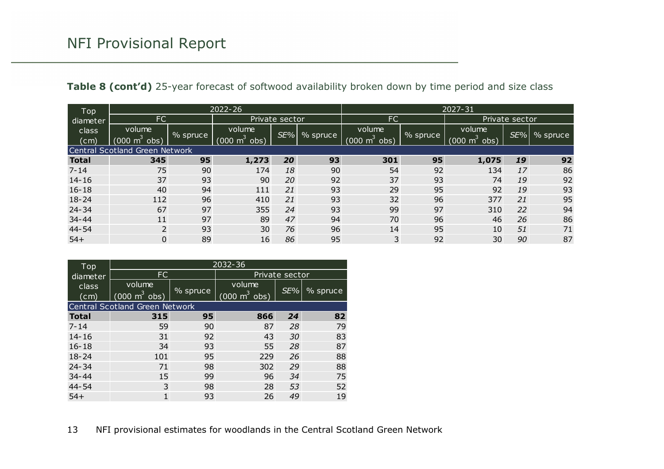|  | Table 8 (cont'd) 25-year forecast of softwood availability broken down by time period and size class |  |  |  |  |  |
|--|------------------------------------------------------------------------------------------------------|--|--|--|--|--|
|--|------------------------------------------------------------------------------------------------------|--|--|--|--|--|

| Top          |                                 | $2022 - 26$ |                             |                |          |                                     | 2027-31    |                               |     |          |  |
|--------------|---------------------------------|-------------|-----------------------------|----------------|----------|-------------------------------------|------------|-------------------------------|-----|----------|--|
| diameter     | <b>FC</b>                       |             |                             | Private sector |          | <b>FC</b>                           |            | Private sector                |     |          |  |
| class        | volume                          |             | volume                      | $SE\%$         |          | volume                              |            | volume                        | SE% |          |  |
| (cm)         | $(000 \text{ m}^3 \text{ obs})$ | % spruce    | obs)<br>$(000 \text{ m}^3)$ |                | % spruce | $(000 \; \text{m}^3 \; \text{obs})$ | $%$ spruce | $(000 \; \text{m}^3)$<br>obs) |     | % spruce |  |
|              | Central Scotland Green Network  |             |                             |                |          |                                     |            |                               |     |          |  |
| <b>Total</b> | 345                             | 95          | 1,273                       | 20             | 93       | 301                                 | 95         | 1,075                         | 19  | 92       |  |
| $7 - 14$     | 75                              | 90          | 174                         | 18             | 90       | 54                                  | 92         | 134                           | 17  | 86       |  |
| $14 - 16$    | 37                              | 93          | 90                          | 20             | 92       | 37                                  | 93         | 74                            | 19  | 92       |  |
| $16 - 18$    | 40                              | 94          | 111                         | 21             | 93       | 29                                  | 95         | 92                            | 19  | 93       |  |
| $18 - 24$    | 112                             | 96          | 410                         | 21             | 93       | 32                                  | 96         | 377                           | 21  | 95       |  |
| $24 - 34$    | 67                              | 97          | 355                         | 24             | 93       | 99                                  | 97         | 310                           | 22  | 94       |  |
| $34 - 44$    | 11                              | 97          | 89                          | 47             | 94       | 70                                  | 96         | 46                            | 26  | 86       |  |
| 44-54        | 2                               | 93          | 30                          | 76             | 96       | 14                                  | 95         | 10                            | 51  | 71       |  |
| $54+$        | 0                               | 89          | 16                          | 86             | 95       | 3                                   | 92         | 30                            | 90  | 87       |  |

<span id="page-12-0"></span>

| Top                        | 2032-36                                   |          |                                           |     |                      |  |  |  |  |
|----------------------------|-------------------------------------------|----------|-------------------------------------------|-----|----------------------|--|--|--|--|
| diameter                   | FC.                                       |          | Private sector                            |     |                      |  |  |  |  |
| class<br>$(c\overline{m})$ | volume<br>$(000 \text{ m}^3 \text{ obs})$ | % spruce | volume<br>$(000 \text{ m}^3 \text{ obs})$ | SE% | $\frac{9}{6}$ spruce |  |  |  |  |
|                            | Central Scotland Green Network            |          |                                           |     |                      |  |  |  |  |
| <b>Total</b>               | 315                                       | 95       | 866                                       | 24  | 82                   |  |  |  |  |
| $7 - 14$                   | 59                                        | 90       | 87                                        | 28  | 79                   |  |  |  |  |
| $14 - 16$                  | 31                                        | 92       | 43                                        | 30  | 83                   |  |  |  |  |
| $16 - 18$                  | 34                                        | 93       | 55                                        | 28  | 87                   |  |  |  |  |
| $18 - 24$                  | 101                                       | 95       | 229                                       | 26  | 88                   |  |  |  |  |
| $24 - 34$                  | 71                                        | 98       | 302                                       | 29  | 88                   |  |  |  |  |
| $34 - 44$                  | 15                                        | 99       | 96                                        | 34  | 75                   |  |  |  |  |
| 44-54                      | 3                                         | 98       | 28                                        | 53  | 52                   |  |  |  |  |
| $54+$                      | 1                                         | 93       | 26                                        | 49  | 19                   |  |  |  |  |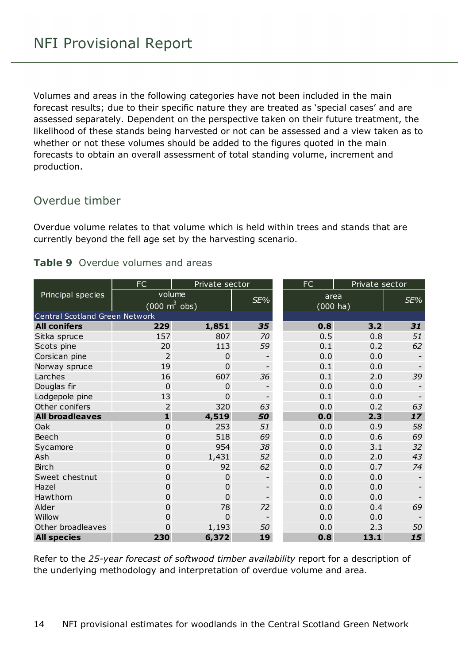Volumes and areas in the following categories have not been included in the main forecast results; due to their specific nature they are treated as 'special cases' and are assessed separately. Dependent on the perspective taken on their future treatment, the likelihood of these stands being harvested or not can be assessed and a view taken as to whether or not these volumes should be added to the figures quoted in the main forecasts to obtain an overall assessment of total standing volume, increment and production.

#### Overdue timber

Overdue volume relates to that volume which is held within trees and stands that are currently beyond the fell age set by the harvesting scenario.

#### <span id="page-13-0"></span>**Table 9** Overdue volumes and areas

|                                | FC                              | Private sector |     | <b>FC</b><br>Private sector |      |     |  |
|--------------------------------|---------------------------------|----------------|-----|-----------------------------|------|-----|--|
| Principal species              | volume                          |                |     | area                        |      | SE% |  |
|                                | $(000 \text{ m}^3 \text{ obs})$ |                | SE% | $(000 \text{ ha})$          |      |     |  |
| Central Scotland Green Network |                                 |                |     |                             |      |     |  |
| <b>All conifers</b>            | 229                             | 1,851          | 35  | 0.8                         | 3.2  | 31  |  |
| Sitka spruce                   | 157                             | 807            | 70  | 0.5                         | 0.8  | 51  |  |
| Scots pine                     | 20                              | 113            | 59  | 0.1                         | 0.2  | 62  |  |
| Corsican pine                  | 2                               | $\overline{0}$ |     | 0.0                         | 0.0  |     |  |
| Norway spruce                  | 19                              | $\overline{0}$ |     | 0.1                         | 0.0  |     |  |
| Larches                        | 16                              | 607            | 36  | 0.1                         | 2.0  | 39  |  |
| Douglas fir                    | $\Omega$                        | $\mathbf 0$    |     | 0.0                         | 0.0  |     |  |
| Lodgepole pine                 | 13                              | $\Omega$       |     | 0.1                         | 0.0  |     |  |
| Other conifers                 | 2                               | 320            | 63  | 0.0                         | 0.2  | 63  |  |
| <b>All broadleaves</b>         | $\mathbf{1}$                    | 4,519          | 50  | 0.0                         | 2.3  | 17  |  |
| Oak                            | $\overline{0}$                  | 253            | 51  | 0.0                         | 0.9  | 58  |  |
| Beech                          | 0                               | 518            | 69  | 0.0                         | 0.6  | 69  |  |
| Sycamore                       | 0                               | 954            | 38  | 0.0                         | 3.1  | 32  |  |
| Ash                            | $\overline{0}$                  | 1,431          | 52  | 0.0                         | 2.0  | 43  |  |
| <b>Birch</b>                   | 0                               | 92             | 62  | 0.0                         | 0.7  | 74  |  |
| Sweet chestnut                 | 0                               | $\mathbf 0$    |     | 0.0                         | 0.0  |     |  |
| Hazel                          | $\overline{0}$                  | $\mathbf 0$    |     | 0.0                         | 0.0  |     |  |
| Hawthorn                       | $\overline{0}$                  | $\Omega$       |     | 0.0                         | 0.0  |     |  |
| Alder                          | 0                               | 78             | 72  | 0.0                         | 0.4  | 69  |  |
| Willow                         | 0                               | $\mathbf 0$    |     | 0.0                         | 0.0  |     |  |
| Other broadleaves              | $\Omega$                        | 1,193          | 50  | 0.0                         | 2.3  | 50  |  |
| <b>All species</b>             | 230                             | 6,372          | 19  | 0.8                         | 13.1 | 15  |  |

Refer to the *25-year forecast of softwood timber availability* report for a description of the underlying methodology and interpretation of overdue volume and area.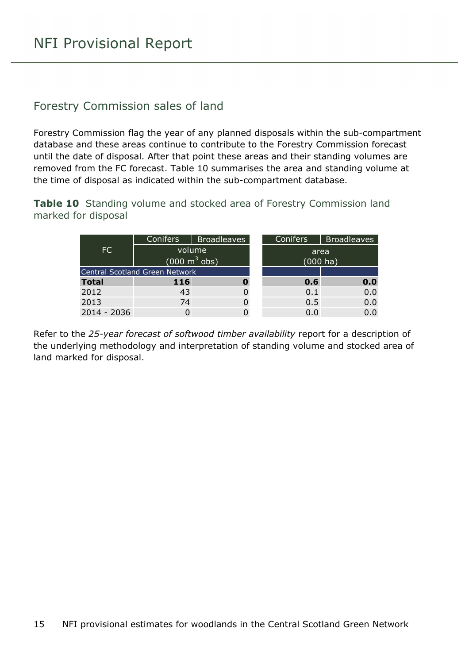#### Forestry Commission sales of land

Forestry Commission flag the year of any planned disposals within the sub-compartment database and these areas continue to contribute to the Forestry Commission forecast until the date of disposal. After that point these areas and their standing volumes are removed from the FC forecast. Table 10 summarises the area and standing volume at the time of disposal as indicated within the sub-compartment database.

<span id="page-14-0"></span>**Table 10** Standing volume and stocked area of Forestry Commission land marked for disposal

|              | <b>Conifers</b>                       | <b>Broadleaves</b>              | <b>Conifers</b> | <b>Broadleaves</b> |  |  |  |  |
|--------------|---------------------------------------|---------------------------------|-----------------|--------------------|--|--|--|--|
| FC           |                                       | volume                          | area            |                    |  |  |  |  |
|              |                                       | $(000 \text{ m}^3 \text{ obs})$ | $(000)$ ha)     |                    |  |  |  |  |
|              | <b>Central Scotland Green Network</b> |                                 |                 |                    |  |  |  |  |
| <b>Total</b> | 116                                   |                                 | 0.6             | 0.0                |  |  |  |  |
| 2012         | 43                                    |                                 | 0.1             | 0.0                |  |  |  |  |
| 2013         | 74                                    |                                 | 0.5             | 0.0                |  |  |  |  |
| 2014 - 2036  |                                       |                                 | 0.0             | 0.0                |  |  |  |  |

Refer to the *25-year forecast of softwood timber availability* report for a description of the underlying methodology and interpretation of standing volume and stocked area of land marked for disposal.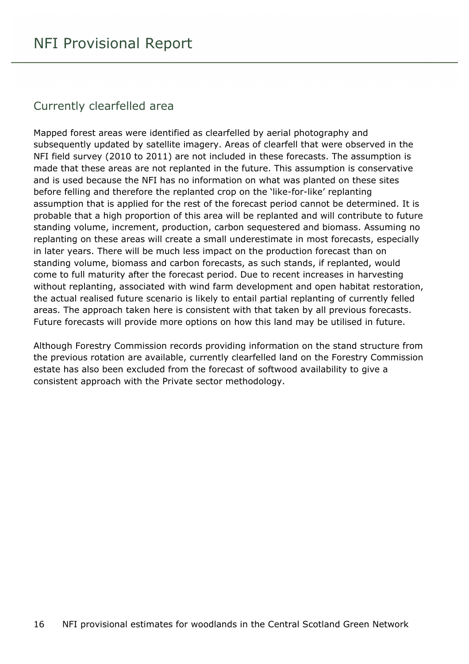#### Currently clearfelled area

Mapped forest areas were identified as clearfelled by aerial photography and subsequently updated by satellite imagery. Areas of clearfell that were observed in the NFI field survey (2010 to 2011) are not included in these forecasts. The assumption is made that these areas are not replanted in the future. This assumption is conservative and is used because the NFI has no information on what was planted on these sites before felling and therefore the replanted crop on the 'like-for-like' replanting assumption that is applied for the rest of the forecast period cannot be determined. It is probable that a high proportion of this area will be replanted and will contribute to future standing volume, increment, production, carbon sequestered and biomass. Assuming no replanting on these areas will create a small underestimate in most forecasts, especially in later years. There will be much less impact on the production forecast than on standing volume, biomass and carbon forecasts, as such stands, if replanted, would come to full maturity after the forecast period. Due to recent increases in harvesting without replanting, associated with wind farm development and open habitat restoration, the actual realised future scenario is likely to entail partial replanting of currently felled areas. The approach taken here is consistent with that taken by all previous forecasts. Future forecasts will provide more options on how this land may be utilised in future.

Although Forestry Commission records providing information on the stand structure from the previous rotation are available, currently clearfelled land on the Forestry Commission estate has also been excluded from the forecast of softwood availability to give a consistent approach with the Private sector methodology.